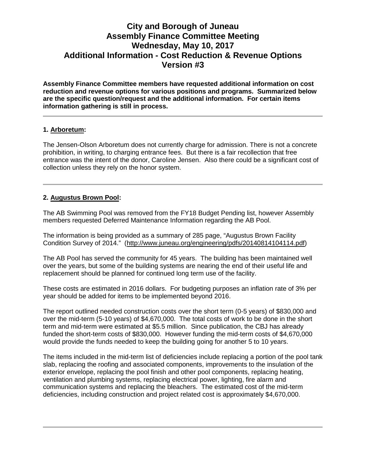# **City and Borough of Juneau Assembly Finance Committee Meeting Wednesday, May 10, 2017 Additional Information - Cost Reduction & Revenue Options Version #3**

**Assembly Finance Committee members have requested additional information on cost reduction and revenue options for various positions and programs. Summarized below are the specific question/request and the additional information. For certain items information gathering is still in process.** 

#### **1. Arboretum:**

The Jensen-Olson Arboretum does not currently charge for admission. There is not a concrete prohibition, in writing, to charging entrance fees. But there is a fair recollection that free entrance was the intent of the donor, Caroline Jensen. Also there could be a significant cost of collection unless they rely on the honor system.

### **2. Augustus Brown Pool:**

The AB Swimming Pool was removed from the FY18 Budget Pending list, however Assembly members requested Deferred Maintenance Information regarding the AB Pool.

The information is being provided as a summary of 285 page, "Augustus Brown Facility Condition Survey of 2014." [\(http://www.juneau.org/engineering/pdfs/20140814104114.pdf\)](http://www.juneau.org/engineering/pdfs/20140814104114.pdf)

The AB Pool has served the community for 45 years. The building has been maintained well over the years, but some of the building systems are nearing the end of their useful life and replacement should be planned for continued long term use of the facility.

These costs are estimated in 2016 dollars. For budgeting purposes an inflation rate of 3% per year should be added for items to be implemented beyond 2016.

The report outlined needed construction costs over the short term (0-5 years) of \$830,000 and over the mid-term (5-10 years) of \$4,670,000. The total costs of work to be done in the short term and mid-term were estimated at \$5.5 million. Since publication, the CBJ has already funded the short-term costs of \$830,000. However funding the mid-term costs of \$4,670,000 would provide the funds needed to keep the building going for another 5 to 10 years.

The items included in the mid-term list of deficiencies include replacing a portion of the pool tank slab, replacing the roofing and associated components, improvements to the insulation of the exterior envelope, replacing the pool finish and other pool components, replacing heating, ventilation and plumbing systems, replacing electrical power, lighting, fire alarm and communication systems and replacing the bleachers. The estimated cost of the mid-term deficiencies, including construction and project related cost is approximately \$4,670,000.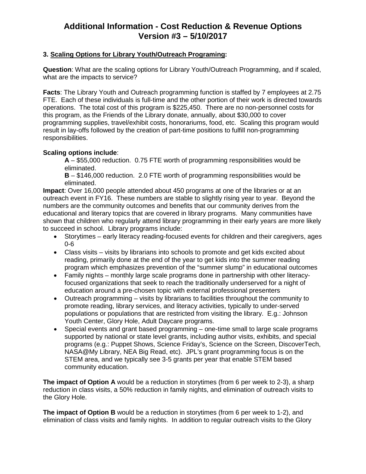# **Additional Information - Cost Reduction & Revenue Options Version #3 – 5/10/2017**

### **3. Scaling Options for Library Youth/Outreach Programing:**

**Question**: What are the scaling options for Library Youth/Outreach Programming, and if scaled, what are the impacts to service?

**Facts**: The Library Youth and Outreach programming function is staffed by 7 employees at 2.75 FTE. Each of these individuals is full-time and the other portion of their work is directed towards operations. The total cost of this program is \$225,450. There are no non-personnel costs for this program, as the Friends of the Library donate, annually, about \$30,000 to cover programming supplies, travel/exhibit costs, honorariums, food, etc. Scaling this program would result in lay-offs followed by the creation of part-time positions to fulfill non-programming responsibilities.

### **Scaling options include**:

**A** – \$55,000 reduction. 0.75 FTE worth of programming responsibilities would be eliminated.

**B** – \$146,000 reduction. 2.0 FTE worth of programming responsibilities would be eliminated.

**Impact**: Over 16,000 people attended about 450 programs at one of the libraries or at an outreach event in FY16. These numbers are stable to slightly rising year to year. Beyond the numbers are the community outcomes and benefits that our community derives from the educational and literary topics that are covered in library programs. Many communities have shown that children who regularly attend library programming in their early years are more likely to succeed in school. Library programs include:

- Storytimes early literacy reading-focused events for children and their caregivers, ages 0-6
- Class visits visits by librarians into schools to promote and get kids excited about reading, primarily done at the end of the year to get kids into the summer reading program which emphasizes prevention of the "summer slump" in educational outcomes
- Family nights monthly large scale programs done in partnership with other literacyfocused organizations that seek to reach the traditionally underserved for a night of education around a pre-chosen topic with external professional presenters
- Outreach programming visits by librarians to facilities throughout the community to promote reading, library services, and literacy activities, typically to under-served populations or populations that are restricted from visiting the library. E.g.: Johnson Youth Center, Glory Hole, Adult Daycare programs.
- Special events and grant based programming one-time small to large scale programs supported by national or state level grants, including author visits, exhibits, and special programs (e.g.: Puppet Shows, Science Friday's, Science on the Screen, DiscoverTech, NASA@My Library, NEA Big Read, etc). JPL's grant programming focus is on the STEM area, and we typically see 3-5 grants per year that enable STEM based community education.

**The impact of Option A** would be a reduction in storytimes (from 6 per week to 2-3), a sharp reduction in class visits, a 50% reduction in family nights, and elimination of outreach visits to the Glory Hole.

**The impact of Option B** would be a reduction in storytimes (from 6 per week to 1-2), and elimination of class visits and family nights. In addition to regular outreach visits to the Glory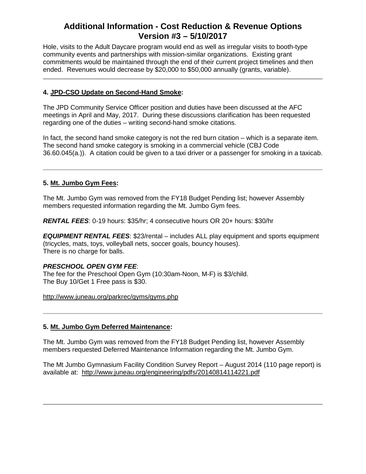# **Additional Information - Cost Reduction & Revenue Options Version #3 – 5/10/2017**

Hole, visits to the Adult Daycare program would end as well as irregular visits to booth-type community events and partnerships with mission-similar organizations. Existing grant commitments would be maintained through the end of their current project timelines and then ended. Revenues would decrease by \$20,000 to \$50,000 annually (grants, variable).

### **4. JPD-CSO Update on Second-Hand Smoke:**

The JPD Community Service Officer position and duties have been discussed at the AFC meetings in April and May, 2017. During these discussions clarification has been requested regarding one of the duties – writing second-hand smoke citations.

In fact, the second hand smoke category is not the red burn citation – which is a separate item. The second hand smoke category is smoking in a commercial vehicle (CBJ Code 36.60.045(a.)). A citation could be given to a taxi driver or a passenger for smoking in a taxicab.

### **5. Mt. Jumbo Gym Fees:**

The Mt. Jumbo Gym was removed from the FY18 Budget Pending list; however Assembly members requested information regarding the Mt. Jumbo Gym fees.

*RENTAL FEES*: 0-19 hours: \$35/hr; 4 consecutive hours OR 20+ hours: \$30/hr

*EQUIPMENT RENTAL FEES*: \$23/rental – includes ALL play equipment and sports equipment (tricycles, mats, toys, volleyball nets, soccer goals, bouncy houses). There is no charge for balls.

### *PRESCHOOL OPEN GYM FEE*:

The fee for the Preschool Open Gym (10:30am-Noon, M-F) is \$3/child. The Buy 10/Get 1 Free pass is \$30.

<http://www.juneau.org/parkrec/gyms/gyms.php>

### **5. Mt. Jumbo Gym Deferred Maintenance:**

The Mt. Jumbo Gym was removed from the FY18 Budget Pending list, however Assembly members requested Deferred Maintenance Information regarding the Mt. Jumbo Gym.

The Mt Jumbo Gymnasium Facility Condition Survey Report – August 2014 (110 page report) is available at: <http://www.juneau.org/engineering/pdfs/20140814114221.pdf>